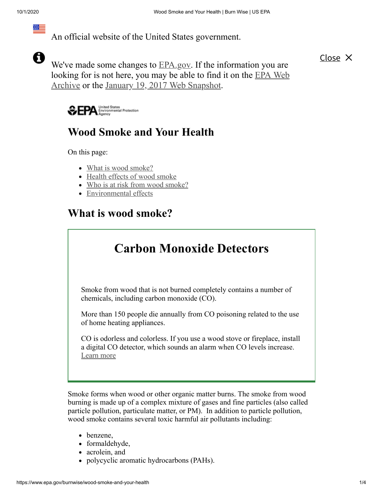An official website of the United States government.

A

隔三

We've made some changes to **EPA**.gov. If the information you are looking for is not here, you may be able to find it on the EPA Web Archive or the January 19, 2017 Web [Snapshot.](https://archive.epa.gov/)

Close  $\times$ 

United States<br>Environmental Protection ₩ÆPA

## **Wood Smoke and Your Health**

On this page:

- What is wood smoke?
- [Health effects of wood smoke](#page-1-0)
- [Who is at risk from wood smoke?](#page-1-1)
- [Environmental effects](#page-2-0)

### **What is wood smoke?**

# **Carbon Monoxide Detectors**

Smoke from wood that is not burned completely contains a number of chemicals, including carbon monoxide (CO).

More than 150 people die annually from CO poisoning related to the use of home heating appliances.

CO is odorless and colorless. If you use a wood stove or fireplace, install a digital CO detector, which sounds an alarm when CO levels increase. [Learn more](https://www.epa.gov/indoor-air-quality-iaq/what-about-carbon-monoxide-detectors)

Smoke forms when wood or other organic matter burns. The smoke from wood burning is made up of a complex mixture of gases and fine particles (also called particle pollution, particulate matter, or PM). In addition to particle pollution, wood smoke contains several toxic harmful air pollutants including:

- benzene,
- formaldehyde,
- acrolein, and
- polycyclic aromatic hydrocarbons (PAHs).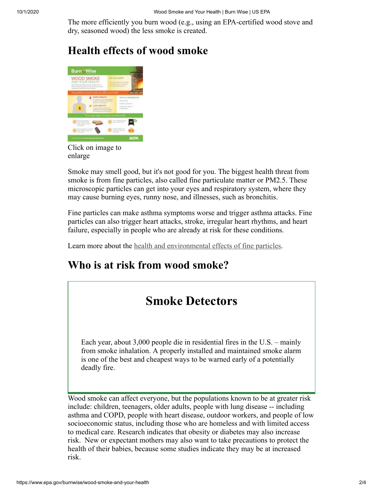The more efficiently you burn wood (e.g., using an EPA-certified wood stove and dry, seasoned wood) the less smoke is created.

## <span id="page-1-0"></span>**Health effects of wood smoke**



Click on image to enlarge

Smoke may smell good, but it's not good for you. The biggest health threat from smoke is from fine particles, also called fine particulate matter or PM2.5. These microscopic particles can get into your eyes and respiratory system, where they may cause burning eyes, runny nose, and illnesses, such as bronchitis.

Fine particles can make asthma symptoms worse and trigger asthma attacks. Fine particles can also trigger heart attacks, stroke, irregular heart rhythms, and heart failure, especially in people who are already at risk for these conditions.

Learn more about the <u>health and environmental effects</u> of fine particles.

## <span id="page-1-1"></span>**Who is at risk from wood smoke?**

## **Smoke Detectors**

Each year, about 3,000 people die in residential fires in the U.S. – mainly from smoke inhalation. A properly installed and maintained smoke alarm is one of the best and cheapest ways to be warned early of a potentially deadly fire.

Wood smoke can affect everyone, but the populations known to be at greater risk include: children, teenagers, older adults, people with lung disease -- including asthma and COPD, people with heart disease, outdoor workers, and people of low socioeconomic status, including those who are homeless and with limited access to medical care. Research indicates that obesity or diabetes may also increase risk. New or expectant mothers may also want to take precautions to protect the health of their babies, because some studies indicate they may be at increased risk.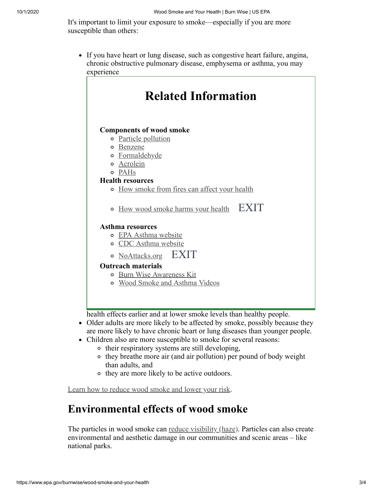It's important to limit your exposure to smoke—especially if you are more susceptible than others:

If you have heart or lung disease, such as congestive heart failure, angina, chronic obstructive pulmonary disease, emphysema or asthma, you may experience

| <b>Related Information</b>                        |
|---------------------------------------------------|
|                                                   |
|                                                   |
| <b>Components of wood smoke</b>                   |
| o Particle pollution                              |
| <b>•</b> Benzene                                  |
| o Formaldehyde                                    |
| o Acrolein                                        |
| o PAHs                                            |
| <b>Health resources</b>                           |
| • How smoke from fires can affect your health     |
|                                                   |
| <b>EXIT</b><br>o How wood smoke harms your health |
|                                                   |
| <b>Asthma resources</b>                           |
| o EPA Asthma website                              |
| o CDC Asthma website                              |
| EXIT<br>o NoAttacks.org                           |
| <b>Outreach materials</b>                         |
| o Burn Wise Awareness Kit                         |
| o Wood Smoke and Asthma Videos                    |
|                                                   |
|                                                   |
|                                                   |

health effects earlier and at lower smoke levels than healthy people.

- Older adults are more likely to be affected by smoke, possibly because they are more likely to have chronic heart or lung diseases than younger people.
- Children also are more susceptible to smoke for several reasons:
	- o their respiratory systems are still developing,
	- o they breathe more air (and air pollution) per pound of body weight than adults, and
	- $\circ$  they are more likely to be active outdoors.

[Learn how to reduce wood smoke and lower your risk](https://www.epa.gov/burnwise/learn-you-burn-wood-what-you-can-do).

### <span id="page-2-0"></span>**Environmental effects of wood smoke**

The particles in wood smoke can [reduce visibility \(haze\).](https://www.epa.gov/visibility) Particles can also create environmental and aesthetic damage in our communities and scenic areas – like national parks.